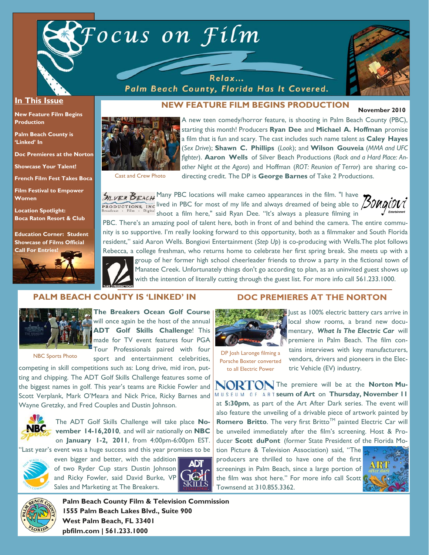

Relax... Palm Beach County, Florida Has It Covered.



#### **In This Issue**

**New Feature Film Begins Production** 

**Palm Beach County is 'Linked' In** 

**Doc Premieres at the Norton** 

**Showcase Your Talent!** 

**French Film Fest Takes Boca** 

**Film Festival to Empower Women** 

**Location Spotlight: Boca Raton Resort & Club** 

**Education Corner: Student Showcase of Films Official** 





**November 2010 NEW FEATURE FILM BEGINS PRODUCTION** 

A new teen comedy/horror feature, is shooting in Palm Beach County (PBC), starting this month! Producers **Ryan Dee** and **Michael A. Hoffman** promise a film that is fun and scary. The cast includes such name talent as **Caley Hayes**  (*Sex Drive*); **Shawn C. Phillips** (*Look*); and **Wilson Gouveia** (*MMA and UFC fighter*). **Aaron Wells** of Silver Beach Productions (*Rock and a Hard Place: Another Night at the Agora*) and Hoffman (*ROT: Reunion of Terror*) are sharing codirecting credit. The DP is **George Barnes** of Take 2 Productions.

Cast and Crew Photo

SILVER BEACH Many PBC locations will make cameo appearances in the film. "I have lived in PBC for most of my life and always dreamed of being able to shoot a film here," said Ryan Dee. "It's always a pleasure filming in

PBC. There's an amazing pool of talent here, both in front of and behind the camera. The entire community is so supportive. I'm really looking forward to this opportunity, both as a filmmaker and South Florida resident," said Aaron Wells. Bongiovi Entertainment (*Step Up*) is co-producing with Wells.The plot follows Rebecca, a college freshman, who returns home to celebrate her first spring break. She meets up with a



group of her former high school cheerleader friends to throw a party in the fictional town of Manatee Creek. Unfortunately things don't go according to plan, as an uninvited guest shows up with the intention of literally cutting through the guest list. For more info call 561.233.1000.

### **PALM BEACH COUNTY IS 'LINKED' IN**



**The Breakers Ocean Golf Course**  will once again be the host of the annual

NBC Sports Photo

**ADT Golf Skills Challenge**! This made for TV event features four PGA Tour Professionals paired with four sport and entertainment celebrities,

competing in skill competitions such as: Long drive, mid iron, putting and chipping. The ADT Golf Skills Challenge features some of the biggest names in golf. This year's teams are Rickie Fowler and Scott Verplank, Mark O'Meara and Nick Price, Ricky Barnes and Wayne Gretzky, and Fred Couples and Dustin Johnson.



The ADT Golf Skills Challenge will take place **November 14-16,2010**, and will air nationally on **NBC** on **January 1-2, 2011**, from 4:00pm-6:00pm EST.

'Last year's event was a huge success and this year promises to be



even bigger and better, with the addition of two Ryder Cup stars Dustin Johnson and Ricky Fowler, said David Burke, VP Sales and Marketing at The Breakers.



### **DOC PREMIERES AT THE NORTON**



DP Josh Laronge filming a Porsche Boxter converted to all Electric Power

Just as 100% electric battery cars arrive in local show rooms, a brand new documentary, *What Is The Electric Car* will premiere in Palm Beach. The film contains interviews with key manufacturers, vendors, drivers and pioneers in the Electric Vehicle (EV) industry.

**NORTON** The premiere will be at the **Norton Museum of Art** on **Thursday, November 11**  at **5:30pm**, as part of the Art After Dark series. The event will also feature the unveiling of a drivable piece of artwork painted by **Romero Britto**. The very first Britto™ painted Electric Car will be unveiled immediately after the film's screening. Host & Producer **Scott duPont** (former State President of the Florida Mo-

tion Picture & Television Association) said, "The producers are thrilled to have one of the first screenings in Palm Beach, since a large portion of the film was shot here." For more info call Scott Townsend at 310.855.3362.





**Palm Beach County Film & Television Commission 1555 Palm Beach Lakes Blvd., Suite 900 West Palm Beach, FL 33401 pbfilm.com | 561.233.1000**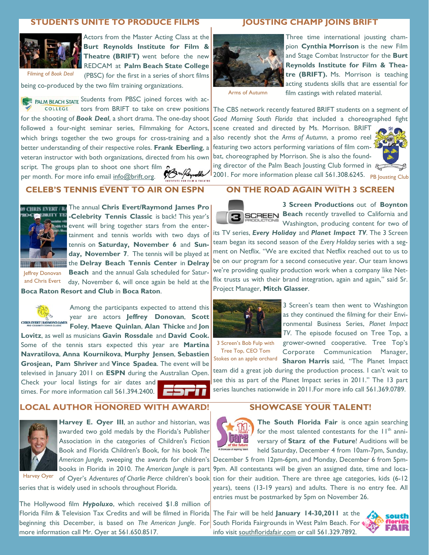### **STUDENTS UNITE TO PRODUCE FILMS**



Filming of *Book Deal*

Actors from the Master Acting Class at the **Burt Reynolds Institute for Film & Theatre (BRIFT)** went before the new REDCAM at **Palm Beach State College** (PBSC) for the first in a series of short films

being co-produced by the two film training organizations.

PALM BEACH STATE Students from PBSC joined forces with ac-COLLEGE tors from BRIFT to take on crew positions The CBS network recently featured BRIFT students on a segment of for the shooting of *Book Deal*, a short drama. The one-day shoot followed a four-night seminar series, Filmmaking for Actors, which brings together the two groups for cross-training and a better understanding of their respective roles. **Frank Eberling**, a veteran instructor with both organizations, directed from his own

script. The groups plan to shoot one short film<br>per month For more info email info@brift org per month. For more info email info@brift.org.



# **CELEB'S TENNIS EVENT TO AIR ON ESPN**



The annual **Chris Evert/Raymond James Pro -Celebrity Tennis Classic** is back! This year's event will bring together stars from the entertainment and tennis worlds with two days of tennis on **Saturday, November 6** and **Sunday, November 7**. The tennis will be played at the **Delray Beach Tennis Center** in **Delray** 

Jeffrey Donovan and Chris Evert

**Beach** and the annual Gala scheduled for Saturday, November 6, will once again be held at the **Boca Raton Resort and Club** in **Boca Raton**.



Among the participants expected to attend this year are actors **Jeffrey Donovan**, **Scott Foley**, **Maeve Quinlan**, **Alan Thicke** and **Jon Lovitz**, as well as musicians **Gavin Rossdale** and **David Cook.** 

Some of the tennis stars expected this year are **Martina Navratilova**, **Anna Kournikova**, **Murphy Jensen**, **Sebastien Grosjean, Pam Shriver** and **Vince Spadea**. The event will be televised in January 2011 on **ESPN** during the Australian Open. Check your local listings for air dates and times. For more information call 561.394.2400.

**LOCAL AUTHOR HONORED WITH AWARD!** 



**Harvey E. Oyer III**, an author and historian, was awarded two gold medals by the Florida's Publisher Association in the categories of Children's Fiction Book and Florida Children's Book, for his book *The American Jungle*, sweeping the awards for children's books in Florida in 2010. *The American Jungle* is part of Oyer's *Adventures of Charlie Pierce* children's book

Harvey Oyer

series that is widely used in schools throughout Florida.

Florida Film & Television Tax Credits and will be filmed in Florida The Fair will be held January 14-30,2011 at the beginning this December, is based on *The American Jungle*. For South Florida Fairgrounds in West Palm Beach. For The Hollywood film *Hypoluxo*, which received \$1.8 million of more information call Mr. Oyer at 561.650.8517.

### **JOUSTING CHAMP JOINS BRIFT**



Three time international jousting champion **Cynthia Morrison** is the new Film and Stage Combat Instructor for the **Burt Reynolds Institute for Film & Theatre (BRIFT).** Ms. Morrison is teaching acting students skills that are essential for film castings with related material.

Arms of Autumn

*Good Morning South Florida* that included a choreographed fight scene created and directed by Ms. Morrison. BRIFT also recently shot the *Arms of Autumn*, a promo reel featuring two actors performing variations of film combat, choreographed by Morrison. She is also the found-



2001. For more information please call 561.308.6245. PB Jousting Club

# **ON THE ROAD AGAIN WITH 3 SCREEN**



**3 Screen Productions** out of **Boynton BCREEN** Beach recently travelled to California and Washington, producing content for two of

its TV series, *Every Holiday* and *Planet Impact TV*. The 3 Screen team began its second season of the *Every Holiday* series with a segment on Netflix. "We are excited that Netflix reached out to us to be on our program for a second consecutive year. Our team knows we're providing quality production work when a company like Netflix trusts us with their brand integration, again and again," said Sr. Project Manager, **Mitch Glasser**.



3 Screen's team then went to Washington as they continued the filming for their Environmental Business Series, *Planet Impact TV*. The episode focused on Tree Top, a grower-owned cooperative. Tree Top's

3 Screen's Bob Fulp with Tree Top, CEO Tom Stokes on an apple orchard

Corporate Communication Manager, **Sharon Harris** said, "The Planet Impact

team did a great job during the production process. I can't wait to see this as part of the Planet Impact series in 2011." The 13 part series launches nationwide in 2011.For more info call 561.369.0789.

## **SHOWCASE YOUR TALENT!**



**The South Florida Fair** is once again searching for the most talented contestants for the  $11<sup>th</sup>$  anniversary of **Starz of the Future**! Auditions will be held Saturday, December 4 from 10am-7pm, Sunday,

December 5 from 12pm-6pm, and Monday, December 6 from 5pm-9pm. All contestants will be given an assigned date, time and location for their audition. There are three age categories, kids (6-12 years), teens (13-19 years) and adults. There is no entry fee. All entries must be postmarked by 5pm on November 26.

info visit southfloridafair.com or call 561.329.7892.

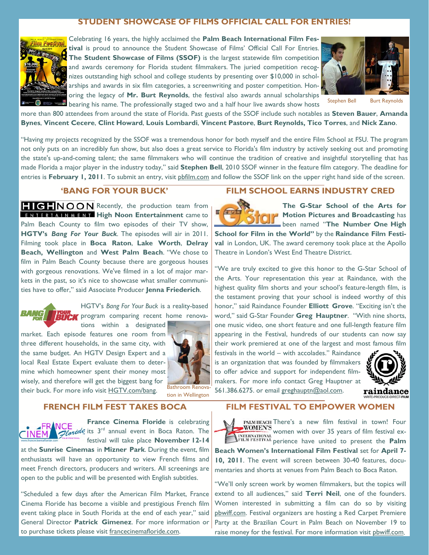# **STUDENT SHOWCASE OF FILMS OFFICIAL CALL FOR ENTRIES!**



Celebrating 16 years, the highly acclaimed the **Palm Beach International Film Festival** is proud to announce the Student Showcase of Films' Official Call For Entries. **The Student Showcase of Films (SSOF)** is the largest statewide film competition and awards ceremony for Florida student filmmakers. The juried competition recognizes outstanding high school and college students by presenting over \$10,000 in scholarships and awards in six film categories, a screenwriting and poster competition. Honoring the legacy of **Mr. Burt Reynolds**, the festival also awards annual scholarships bearing his name. The professionally staged two and a half hour live awards show hosts



Stephen Bell Burt Reynolds

more than 800 attendees from around the state of Florida. Past guests of the SSOF include such notables as **Steven Bauer**, **Amanda Bynes**, **Vincent Cecere**, **Clint Howard**, **Louis Lombardi**, **Vincent Pastore**, **Burt Reynolds, Tico Torres**, and **Nick Zano**.

"Having my projects recognized by the SSOF was a tremendous honor for both myself and the entire Film School at FSU. The program not only puts on an incredibly fun show, but also does a great service to Florida's film industry by actively seeking out and promoting the state's up-and-coming talent; the same filmmakers who will continue the tradition of creative and insightful storytelling that has made Florida a major player in the industry today," said **Stephen Bell**, 2010 SSOF winner in the feature film category. The deadline for entries is February 1, 2011. To submit an entry, visit phfilm.com and follow the SSOF link on the upper right hand side of the screen.

# **'BANG FOR YOUR BUCK'**

**Recently, the production team from ENTERTAINMENT High Noon Entertainment came to** Palm Beach County to film two episodes of their TV show, **HGTV's** *Bang For Your Buck*. The episodes will air in 2011. Filming took place in **Boca Raton**, **Lake Worth**, **Delray Beach, Wellington** and **West Palm Beach**. "We chose to film in Palm Beach County because there are gorgeous houses with gorgeous renovations. We've filmed in a lot of major markets in the past, so it's nice to showcase what smaller communities have to offer," said Associate Producer **Jenna Friederich**.



HGTV's *Bang For Your Buck* is a reality-based **RUPLE** program comparing recent home renova-

tions within a designated market. Each episode features one room from three different households, in the same city, with the same budget. An HGTV Design Expert and a local Real Estate Expert evaluate them to determine which homeowner spent their money most wisely, and therefore will get the biggest bang for their buck. For more info visit HGTV.com/bang. Bathroom Renova-



tion in Wellington

#### **FRENCH FILM FEST TAKES BOCA**



**France Cinema Floride** is celebrating Its 3rd annual event in Boca Raton. The festival will take place **November 12-14**

at the **Sunrise Cinemas** in **Mizner Park**. During the event, film enthusiasts will have an opportunity to view French films and meet French directors, producers and writers. All screenings are open to the public and will be presented with English subtitles.

"Scheduled a few days after the American Film Market, France Cinema Floride has become a visible and prestigious French film event taking place in South Florida at the end of each year," said General Director **Patrick Gimenez**. For more information or to purchase tickets please visit francecinemafloride.com.

### **FILM SCHOOL EARNS INDUSTRY CRED**



**The G-Star School of the Arts for Motion Pictures and Broadcasting** has been named "**The Number One High** 

**School for Film in the World"** by the **Raindance Film Festival** in London, UK. The award ceremony took place at the Apollo Theatre in London's West End Theatre District.

"We are truly excited to give this honor to the G-Star School of the Arts. Your representation this year at Raindance, with the highest quality film shorts and your school's feature-length film, is the testament proving that your school is indeed worthy of this honor," said Raindance Founder **Elliott Grove**. "Exciting isn't the word," said G-Star Founder **Greg Hauptner**. "With nine shorts, one music video, one short feature and one full-length feature film appearing in the Festival, hundreds of our students can now say their work premiered at one of the largest and most famous film

festivals in the world – with accolades." Raindance is an organization that was founded by filmmakers to offer advice and support for independent filmmakers. For more info contact Greg Hauptner at 561.386.6275. or email greghauptn@aol.com.



raindance

### **FILM FESTIVAL TO EMPOWER WOMEN**

PALM BEACH There's a new film festival in town! Four **WOMEN'S** women with over 35 years of film festival ex**performance in the contract of the Palm**  $\frac{1}{2}$ **Beach Women's International Film Festival** set for **April 7- 10, 2011**. The event will screen between 30-40 features, documentaries and shorts at venues from Palm Beach to Boca Raton.

"We'll only screen work by women filmmakers, but the topics will extend to all audiences," said **Terri Neil**, one of the founders. Women interested in submitting a film can do so by visiting pbwiff.com. Festival organizers are hosting a Red Carpet Premiere Party at the Brazilian Court in Palm Beach on November 19 to raise money for the festival. For more information visit pbwiff.com.